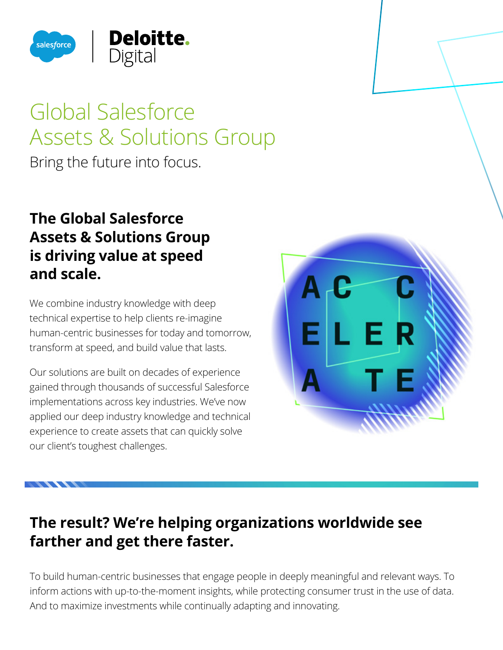

# Global Salesforce Assets & Solutions Group

Bring the future into focus.

## **The Global Salesforce Assets & Solutions Group is driving value at speed and scale.**

We combine industry knowledge with deep technical expertise to help clients re-imagine human-centric businesses for today and tomorrow, transform at speed, and build value that lasts.

Our solutions are built on decades of experience gained through thousands of successful Salesforce implementations across key industries. We've now applied our deep industry knowledge and technical experience to create assets that can quickly solve our client's toughest challenges.



# **The result? We're helping organizations worldwide see farther and get there faster.**

To build human-centric businesses that engage people in deeply meaningful and relevant ways. To inform actions with up-to-the-moment insights, while protecting consumer trust in the use of data. And to maximize investments while continually adapting and innovating.